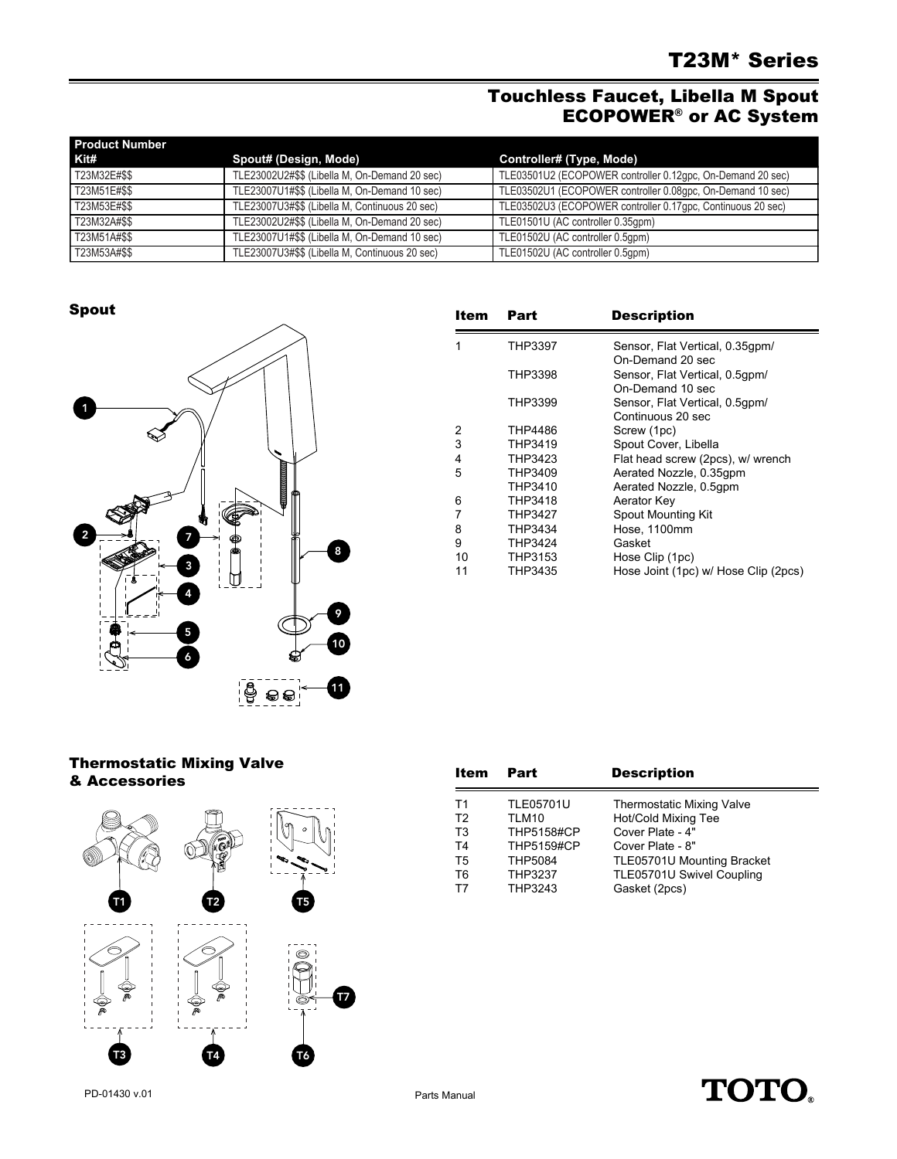# Touchless Faucet, Libella M Spout ECOPOWER® or AC System

| <b>Product Number</b> |                                                |                                                             |
|-----------------------|------------------------------------------------|-------------------------------------------------------------|
| Kit#                  | Spout# (Design, Mode)                          | Controller# (Type, Mode)                                    |
| T23M32E#\$\$          | TLE23002U2#\$\$ (Libella M, On-Demand 20 sec)  | TLE03501U2 (ECOPOWER controller 0.12qpc, On-Demand 20 sec)  |
| T23M51E#\$\$          | TLE23007U1#\$\$ (Libella M, On-Demand 10 sec)  | TLE03502U1 (ECOPOWER controller 0.08gpc, On-Demand 10 sec)  |
| T23M53E#\$\$          | TLE23007U3#\$\$ (Libella M, Continuous 20 sec) | TLE03502U3 (ECOPOWER controller 0.17gpc, Continuous 20 sec) |
| T23M32A#\$\$          | TLE23002U2#\$\$ (Libella M, On-Demand 20 sec)  | TLE01501U (AC controller 0.35qpm)                           |
| T23M51A#\$\$          | TLE23007U1#\$\$ (Libella M, On-Demand 10 sec)  | TLE01502U (AC controller 0.5qpm)                            |
| T23M53A#\$\$          | TLE23007U3#\$\$ (Libella M, Continuous 20 sec) | TLE01502U (AC controller 0.5qpm)                            |

### Spout



| Item | Part           | <b>Description</b>                                  |
|------|----------------|-----------------------------------------------------|
| 1    | THP3397        | Sensor, Flat Vertical, 0.35qpm/<br>On-Demand 20 sec |
|      | THP3398        | Sensor, Flat Vertical, 0.5gpm/<br>On-Demand 10 sec  |
|      | THP3399        | Sensor, Flat Vertical, 0.5gpm/<br>Continuous 20 sec |
| 2    | THP4486        | Screw (1pc)                                         |
| 3    | THP3419        | Spout Cover, Libella                                |
| 4    | THP3423        | Flat head screw (2pcs), w/ wrench                   |
| 5    | THP3409        | Aerated Nozzle, 0.35gpm                             |
|      | THP3410        | Aerated Nozzle, 0.5qpm                              |
| 6    | THP3418        | Aerator Key                                         |
| 7    | <b>THP3427</b> | Spout Mounting Kit                                  |
| 8    | THP3434        | Hose, 1100mm                                        |
| 9    | THP3424        | Gasket                                              |
| 10   | THP3153        | Hose Clip (1pc)                                     |
| 11   | THP3435        | Hose Joint (1pc) w/ Hose Clip (2pcs)                |

### Thermostatic Mixing Valve & Accessories



| Item           | Part              | <b>Description</b>               |
|----------------|-------------------|----------------------------------|
| T1             | <b>TLE05701U</b>  | <b>Thermostatic Mixing Valve</b> |
| T <sub>2</sub> | TLM10             | Hot/Cold Mixing Tee              |
| T <sub>3</sub> | <b>THP5158#CP</b> | Cover Plate - 4"                 |
| T <sub>4</sub> | <b>THP5159#CP</b> | Cover Plate - 8"                 |
| T <sub>5</sub> | <b>THP5084</b>    | TLE05701U Mounting Bracket       |
| T <sub>6</sub> | <b>THP3237</b>    | TLE05701U Swivel Coupling        |
| Т7             | THP3243           | Gasket (2pcs)                    |